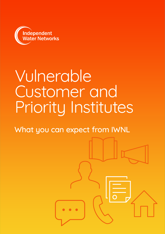

# Vulnerable Customer and Priority Institutes

What you can expect from IWNL

where  $\mathcal{N}$  is 02920 02920 02920 02920 02920 02920 02920 02920 02920 02920 02920 02920 02920 02920 02920 02920 02920 02920 02920 02920 02920 02920 02920 02920 02920 02920 02920 02920 02920 02920 02920 02920 02920 02920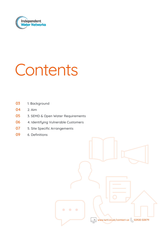

# Contents

- 03 1. Background
- 04 2. Aim
- 05 3. SEMD & Open Water Requirements
- 06 4. Identifying Vulnerable Customers
- **07** 5. Site Specific Arrangements
- 09 6. Definitions

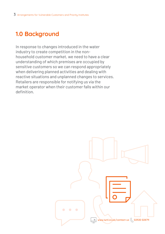# **1.0 Background**

In response to changes introduced in the water industry to create competition in the nonhousehold customer market, we need to have a clear understanding of which premises are occupied by sensitive customers so we can respond appropriately when delivering planned activities and dealing with reactive situations and unplanned changes to services. Retailers are responsible for notifying us via the market operator when their customer falls within our definition. 

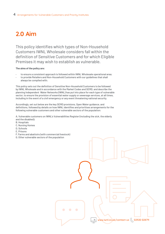## **2.0 Aim**

This policy identifies which types of Non-Household Customers IWNL Wholesale considers fall within the definition of Sensitive Customers and for which Eligible Premises it may wish to establish as vulnerable.

#### **The aims of the policy are:**

- to ensure a consistent approach is followed within IWNL Wholesale operational area;
- to provide Retailers and Non-Household Customers with our guidelines that shall always be complied with;

This policy sets out the definition of Sensitive Non-Household Customers to be followed by IWNL Wholesale and in accordance with the Market Codes and SEMD, and describe the planning Independent Water Networks (IWNL) has put into place for each type of vulnerable sector, to ensure the provision of essential water supply or sewerage services, at all times, including in the event of a civil emergency or any event threatening national security.

Accordingly, set out below are the key SEMD provisions, Open Water guidance, and definitions, followed by details on how IWNL identifies and prioritises arrangements for the following vulnerable customers and other vulnerable sectors of the population:

A. Vulnerable customers on IWNL's Vulnerabilities Register (including the sick, the elderly and the disabled);

- B. Hospitals
- C. Nursing Homes
- D. Schools
- E. Prisons
- F. Farms and abattoirs (with commercial livestock)
- G. Other vulnerable sectors of the population

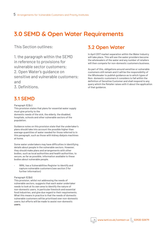# **3.0 SEMD & Open Water Requirements**

This Section outlines:

1. the paragraph within the SEMD in reference to provisions for vulnerable sector customers; 2. Open Water's guidance on sensitive and vulnerable customers; and

3. Definitions.

## **3.1 SEMD**

Paragraph 1(2)(c) This provision states that plans for essential water supply must give priority to the

domestic needs of the sick, the elderly, the disabled, hospitals, schools and other vulnerable sectors of the population.

Guidance notes on this provision state that the undertaker's plans should take into account the possible higher than average quantities of water needed for those referred to in this paragraph, such as those with kidney dialysis machines at home.

Some water undertakers may have difficulties in identifying details about people in the vulnerable sectors. However, they should make plans and arrangements with other bodies, such as local authorities and health authorities, to secure, as far as possible, information available to these bodies about vulnerable people.

IWNL has a Vulnerabilities Register to identify and capture vulnerable customers (see section 3 for further information)

#### Paragraph 1(2)(d)

This provision, whilst not addressing the needs of vulnerable sectors, suggests that each water undertaker needs to look at its own area to identify the nature of non-domestic users, in particular livestock and essential food industries, and give due regard to their requirements. What this means in practice is that the needs of domestic vulnerable customers will be prioritised over non-domestic users; but efforts will be made to assist non-domestic users.

## **3.2 Open Water**

In April 2017 market separation within the Water Industry will take place. This will see the water providers become the wholesalers of the water and any number of retailers will then compete for non-domestic customers business.

As part of this, obligations around sensitive or vulnerable customers still remain and it will be the responsibility of the Wholesaler to publish guidance as to which types of Non- domestic customers it considers to fall within the definition of Sensitive Customer and shall respond to any query which the Retailer raises with it about the application of that guidance.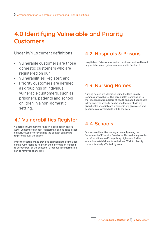## **4.0 Identifying Vulnerable and Priority Customers**

Under IWNL's current definitions:-

- Vulnerable customers are those domestic customers who are registered on our
- Vulnerabilities Register; and
- Priority customers are defined as groupings of individual vulnerable customers, such as prisoners, patients and school children in a non-domestic setting.

## **4.1 Vulnerabilities Register**

Vulnerable Customer information is obtained in several ways. Customers can self-register; this can be done either on IWNL's website or by calling the contact center and registering over the phone.

Once the customer has provided permission to be included on the Vulnerabilities Register, their information is added to our records. By the customer's request this information can be removed at any time.

### **4.2 Hospitals & Prisons**

Hospital and Prisons information has been captured based on pre-determined guidance as set out in Section 5.

## **4.3 Nursing Homes**

Nursing homes are identified using the Care Quality Commission's website. The Care Quality Commission is the independent regulators of health and adult social care in England. The website can be used to search via any given health or social care provider in any given area and generates a downloadable link to the data.

## **4.4 Schools**

Schools are identified during an event by using the Department of Education's website. This website provides the information on all 'compulsory higher and further education' establishments and allows IWNL to identify those potentially affected, by area.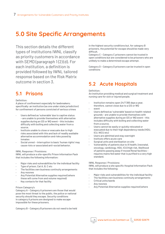# **5.0 Site Specific Arrangements**

This section details the different types of institutions IWNL classify as priority customers in accordance with SEMD (paragraph 1(2)(d). For each institution, a definition is provided followed by IWNL tailored response based on the Risk Matrix outcome in section 3.

## **5.1 Prisons**

#### Definition:

A place of confinement especially for lawbreakers; specifically: an institution (as one under state jurisdiction) for confinement of persons convicted of serious crimes

- Users defined as 'vulnerable' due to captive status – are unable to provide themselves with alternative supplies during an I2S or WQ event – this includes difficulty with boiling and collecting water from a source.
- Institute unable to close or evacuate due to high risks associated with this and lack of readily available alternative accommodation and risks posed by inmates
- Social unrest interruption to basic 'human rights' may cause riots or associated anti-social behavior.

#### IWNL Response / Provisions:

IWNL will produce a site-specific Prison Information Pack that includes the following information:

- Major risks and vulnerabilities for the individual facility
- Type of prison, Cat A, B, C etc
- The facilities own business continuity arrangements
- Any rezones
- Any Potential Alternative supplies required (where these will come from and volume required)
- Key contacts for that facility

#### Prison Category's

Category A – Category A prisoners are those that would pose the most threat to the public, the police or national security should they escape. Security conditions in category A prisons are designed to make escape impossible for these prisoners.

Category B – Category B prisoners do not need to be held

in the highest security conditions but, for category B prisoners, the potential for escape should be made very difficult.

Category C – Category C prisoners cannot be trusted in open conditions but are considered to be prisoners who are unlikely to make a determined escape attempt.

Category D – Category D prisoners can be trusted in open conditions

## **5.2 Acute Hospitals**

#### Definition:

An institution providing medical and surgical treatment and nursing care for sick or injured people.

- Institution remains open 24/7 365 days a year, therefore, cannot close due to a I2S or WQ
- event
- Users defined as 'vulnerable' based on health-related grounds – are unable to provide themselves with alternative supplies during an I2S or WQ event – this includes difficulty with boiling and collecting water from a source.
- Users cannot be easily or quickly relocated or evacuated due to their high dependency needs (HDU, ICU, NICU etc)
- Users are admitted and stay overnight
- Institute offers acute care
- Surgical units and sterilization on site
- Vulnerability of patients due to ill health, (neonatal, oncology, cardiology, HDU, ICU) high risk, likelihood of patients passing away if moved Renal facilities – requires mains fed water that is purified to a very high standard.

#### IWNL Response / Provisions:

IWNL will produce a site specific Hospital Information Pack that includes the following:

- Major risks and vulnerabilities for the individual facility
- The facilities own business continuity arrangements
- Critical units/wards
- Any rezones
- Any Potential Alternative supplies required (where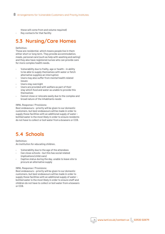these will come from and volume required)

Key contacts for that facility

## **5.3 Nursing/Care Homes**

#### Definition:

These are residential, which means people live in them either short or long term. They provide accommodation, meals, personal care (such as help with washing and eating) and they also have registered nurses who can provide care for more complex health needs.

- Vulnerability due to frailty, age or health in ability to be able to supply themselves with water or fetch alternative supplies an interruption
- Users may also suffer from mental health related issues
- Users stay overnight
- Users are provided with welfare as part of their stay which food and water as unable to provide this themselves
- Cannot close or relocate easily due to the complex and broad nature of the inhabitants needs

#### IWNL Response / Provisions:

Best endeavours – priority will be given to our domestic customers, but best endeavours will be made in order to supply these facilities with an additional supply of water – bottled water is the most likely in order to ensure residents do not have to collect or boil water from a bowsers or CCB.

### **5.4 Schools**

Definition: An institution for educating children.

- Vulnerability due to the age of the attendees
- Can close schools but this has social related implications (child care)
- Captive status during the day, unable to leave site to procure an alternative supply

#### IWNL Response / Provisions:

Best endeavours – priority will be given to our domestic customers, but best endeavours will be made in order to supply these facilities with an additional supply of water – bottled water is the most likely in order to ensure staff and children do not have to collect or boil water from a bowsers or CCB.